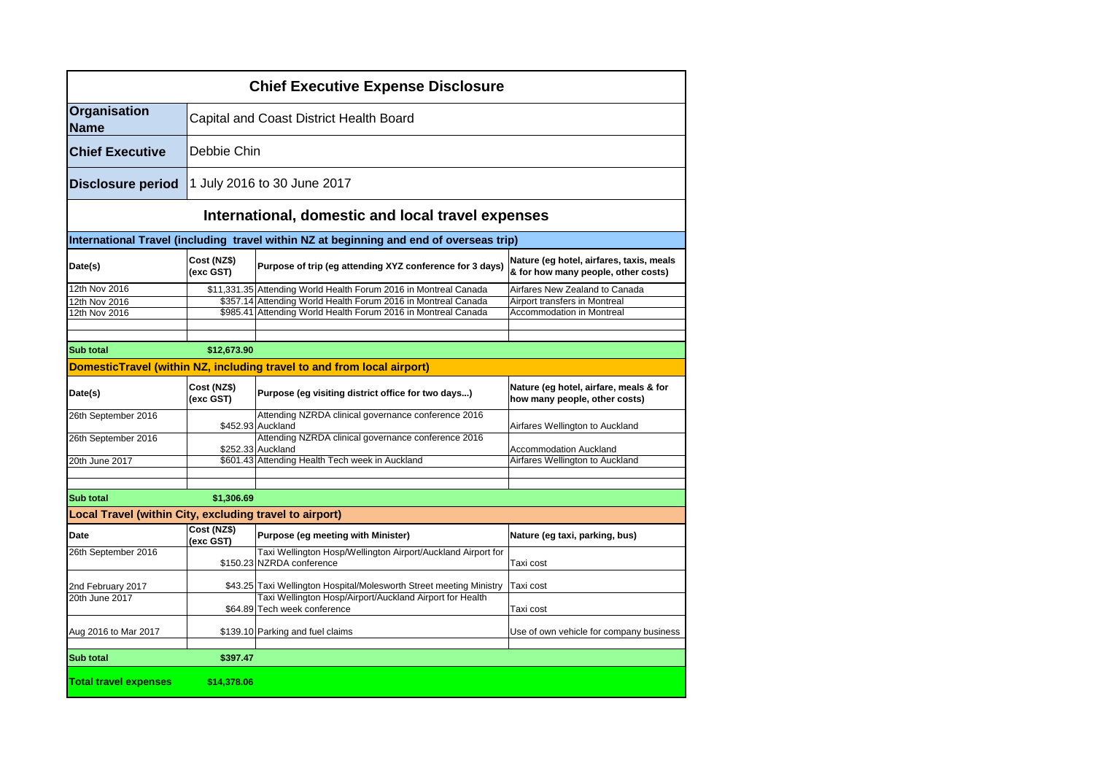| <b>Chief Executive Expense Disclosure</b>               |                          |                                                                                           |                                                                                 |  |  |
|---------------------------------------------------------|--------------------------|-------------------------------------------------------------------------------------------|---------------------------------------------------------------------------------|--|--|
| Organisation<br><b>Name</b>                             |                          | Capital and Coast District Health Board                                                   |                                                                                 |  |  |
| <b>Chief Executive</b>                                  |                          | Debbie Chin                                                                               |                                                                                 |  |  |
| <b>Disclosure period</b>                                |                          | 1 July 2016 to 30 June 2017                                                               |                                                                                 |  |  |
| International, domestic and local travel expenses       |                          |                                                                                           |                                                                                 |  |  |
|                                                         |                          | International Travel (including travel within NZ at beginning and end of overseas trip)   |                                                                                 |  |  |
| Date(s)                                                 | Cost (NZ\$)<br>(exc GST) | Purpose of trip (eg attending XYZ conference for 3 days)                                  | Nature (eg hotel, airfares, taxis, meals<br>& for how many people, other costs) |  |  |
| 12th Nov 2016                                           |                          | \$11,331.35 Attending World Health Forum 2016 in Montreal Canada                          | Airfares New Zealand to Canada                                                  |  |  |
| 12th Nov 2016                                           |                          | \$357.14 Attending World Health Forum 2016 in Montreal Canada                             | Airport transfers in Montreal                                                   |  |  |
| 12th Nov 2016                                           |                          | \$985.41 Attending World Health Forum 2016 in Montreal Canada                             | <b>Accommodation in Montreal</b>                                                |  |  |
|                                                         |                          |                                                                                           |                                                                                 |  |  |
| <b>Sub total</b>                                        | \$12,673.90              |                                                                                           |                                                                                 |  |  |
|                                                         |                          | DomesticTravel (within NZ, including travel to and from local airport)                    |                                                                                 |  |  |
| Date(s)                                                 | Cost (NZ\$)<br>(exc GST) | Purpose (eg visiting district office for two days)                                        | Nature (eg hotel, airfare, meals & for<br>how many people, other costs)         |  |  |
| 26th September 2016                                     |                          | Attending NZRDA clinical governance conference 2016<br>\$452.93 Auckland                  | Airfares Wellington to Auckland                                                 |  |  |
| 26th September 2016                                     |                          | Attending NZRDA clinical governance conference 2016<br>\$252.33 Auckland                  | <b>Accommodation Auckland</b>                                                   |  |  |
| 20th June 2017                                          |                          | \$601.43 Attending Health Tech week in Auckland                                           | Airfares Wellington to Auckland                                                 |  |  |
|                                                         |                          |                                                                                           |                                                                                 |  |  |
|                                                         |                          |                                                                                           |                                                                                 |  |  |
| Sub total                                               | \$1,306.69               |                                                                                           |                                                                                 |  |  |
| Local Travel (within City, excluding travel to airport) |                          |                                                                                           |                                                                                 |  |  |
| Date                                                    | Cost (NZ\$)<br>(exc GST) | Purpose (eg meeting with Minister)                                                        | Nature (eg taxi, parking, bus)                                                  |  |  |
| 26th September 2016                                     |                          | Taxi Wellington Hosp/Wellington Airport/Auckland Airport for<br>\$150.23 NZRDA conference | Taxi cost                                                                       |  |  |
| 2nd February 2017<br>20th June 2017                     |                          | \$43.25 Taxi Wellington Hospital/Molesworth Street meeting Ministry                       | Taxi cost                                                                       |  |  |
|                                                         |                          | Taxi Wellington Hosp/Airport/Auckland Airport for Health<br>\$64.89 Tech week conference  | Taxi cost                                                                       |  |  |
| Aug 2016 to Mar 2017                                    |                          | \$139.10 Parking and fuel claims                                                          | Use of own vehicle for company business                                         |  |  |
| <b>Sub total</b>                                        | \$397.47                 |                                                                                           |                                                                                 |  |  |
|                                                         |                          |                                                                                           |                                                                                 |  |  |
| <b>Total travel expenses</b>                            | \$14,378.06              |                                                                                           |                                                                                 |  |  |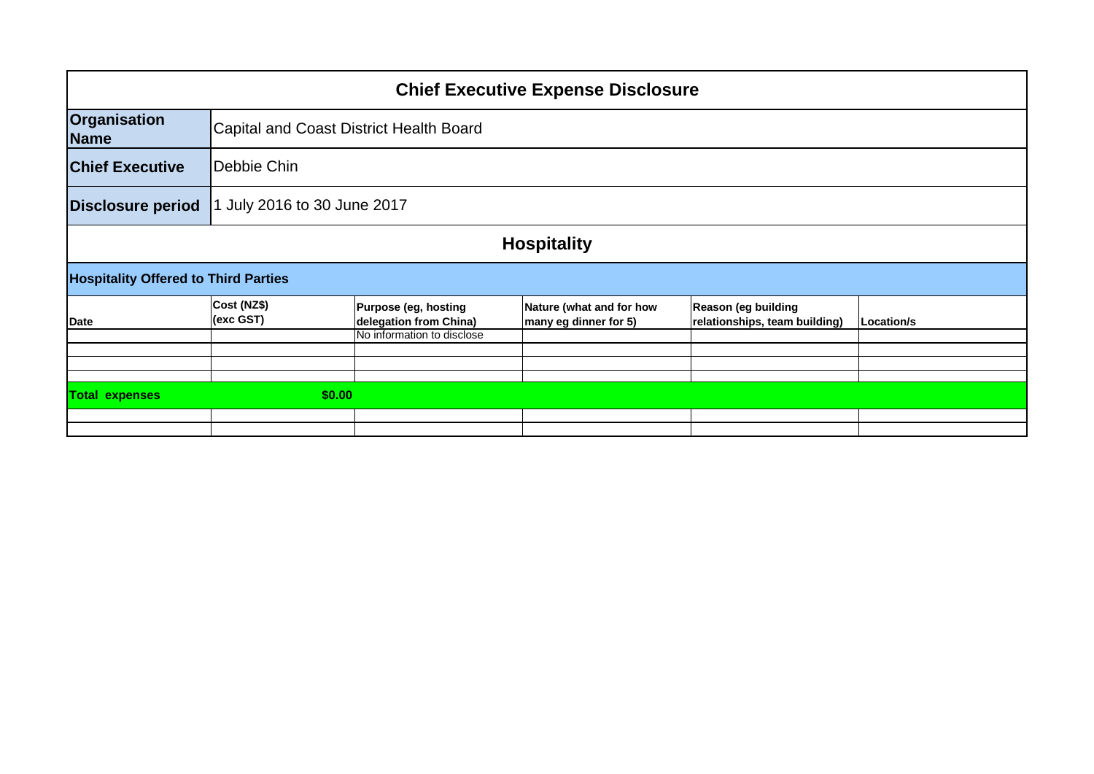| <b>Chief Executive Expense Disclosure</b>   |                                                |                                                                                 |                                                      |            |  |  |
|---------------------------------------------|------------------------------------------------|---------------------------------------------------------------------------------|------------------------------------------------------|------------|--|--|
|                                             |                                                |                                                                                 |                                                      |            |  |  |
|                                             |                                                |                                                                                 |                                                      |            |  |  |
| July 2016 to 30 June 2017                   |                                                |                                                                                 |                                                      |            |  |  |
| <b>Hospitality</b>                          |                                                |                                                                                 |                                                      |            |  |  |
| <b>Hospitality Offered to Third Parties</b> |                                                |                                                                                 |                                                      |            |  |  |
| Cost (NZ\$)<br>(exc GST)                    | Purpose (eg, hosting<br>delegation from China) | Nature (what and for how<br>many eg dinner for 5)                               | Reason (eg building<br>relationships, team building) | Location/s |  |  |
|                                             |                                                |                                                                                 |                                                      |            |  |  |
|                                             |                                                |                                                                                 |                                                      |            |  |  |
|                                             |                                                |                                                                                 |                                                      |            |  |  |
|                                             |                                                |                                                                                 |                                                      |            |  |  |
|                                             |                                                |                                                                                 |                                                      |            |  |  |
|                                             | Debbie Chin                                    | Capital and Coast District Health Board<br>No information to disclose<br>\$0.00 |                                                      |            |  |  |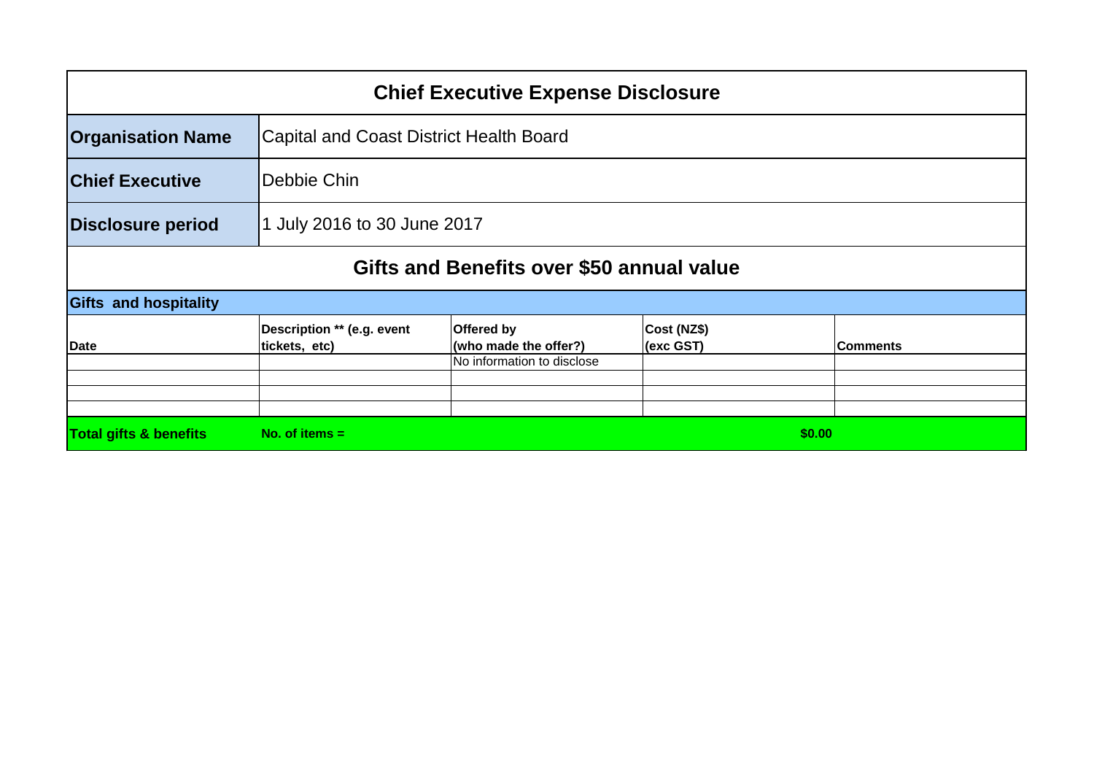| <b>Chief Executive Expense Disclosure</b> |                                                |                                     |                          |                 |  |  |
|-------------------------------------------|------------------------------------------------|-------------------------------------|--------------------------|-----------------|--|--|
| <b>Organisation Name</b>                  | <b>Capital and Coast District Health Board</b> |                                     |                          |                 |  |  |
| <b>Chief Executive</b>                    | Debbie Chin                                    |                                     |                          |                 |  |  |
| <b>Disclosure period</b>                  | 1 July 2016 to 30 June 2017                    |                                     |                          |                 |  |  |
| Gifts and Benefits over \$50 annual value |                                                |                                     |                          |                 |  |  |
| <b>Gifts and hospitality</b>              |                                                |                                     |                          |                 |  |  |
| Date                                      | Description ** (e.g. event<br>tickets, etc)    | Offered by<br>(who made the offer?) | Cost (NZ\$)<br>(exc GST) | <b>Comments</b> |  |  |
|                                           |                                                | No information to disclose          |                          |                 |  |  |
|                                           |                                                |                                     |                          |                 |  |  |
|                                           |                                                |                                     |                          |                 |  |  |
| <b>Total gifts &amp; benefits</b>         | No. of items $=$                               |                                     | \$0.00                   |                 |  |  |